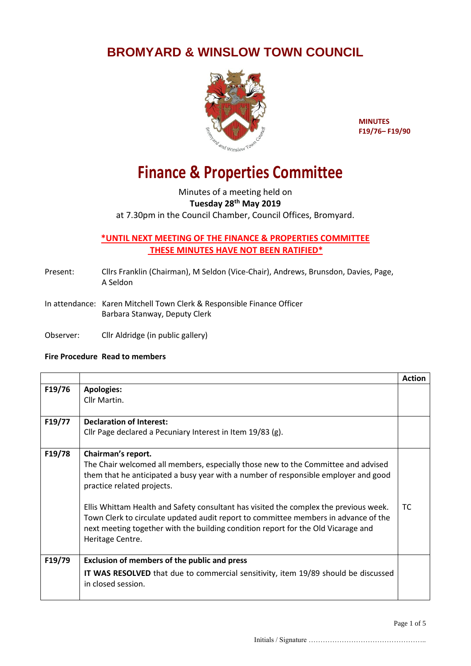## **BROMYARD & WINSLOW TOWN COUNCIL**



**MINUTES F19/76– F19/90**

## **Finance & Properties Committee**

Minutes of a meeting held on **Tuesday 28th May 2019** at 7.30pm in the Council Chamber, Council Offices, Bromyard.

## **\*UNTIL NEXT MEETING OF THE FINANCE & PROPERTIES COMMITTEE THESE MINUTES HAVE NOT BEEN RATIFIED\***

- Present: Cllrs Franklin (Chairman), M Seldon (Vice-Chair), Andrews, Brunsdon, Davies, Page, A Seldon
- In attendance: Karen Mitchell Town Clerk & Responsible Finance Officer Barbara Stanway, Deputy Clerk
- Observer: Cllr Aldridge (in public gallery)

## **Fire Procedure Read to members**

|        |                                                                                                                                                                                                                                                                                                                                                                                                                                                                                                                       | <b>Action</b> |
|--------|-----------------------------------------------------------------------------------------------------------------------------------------------------------------------------------------------------------------------------------------------------------------------------------------------------------------------------------------------------------------------------------------------------------------------------------------------------------------------------------------------------------------------|---------------|
| F19/76 | <b>Apologies:</b><br>Cllr Martin.                                                                                                                                                                                                                                                                                                                                                                                                                                                                                     |               |
|        |                                                                                                                                                                                                                                                                                                                                                                                                                                                                                                                       |               |
| F19/77 | <b>Declaration of Interest:</b>                                                                                                                                                                                                                                                                                                                                                                                                                                                                                       |               |
|        | Cllr Page declared a Pecuniary Interest in Item 19/83 (g).                                                                                                                                                                                                                                                                                                                                                                                                                                                            |               |
| F19/78 | Chairman's report.<br>The Chair welcomed all members, especially those new to the Committee and advised<br>them that he anticipated a busy year with a number of responsible employer and good<br>practice related projects.<br>Ellis Whittam Health and Safety consultant has visited the complex the previous week.<br>Town Clerk to circulate updated audit report to committee members in advance of the<br>next meeting together with the building condition report for the Old Vicarage and<br>Heritage Centre. | ТC            |
| F19/79 | <b>Exclusion of members of the public and press</b><br><b>IT WAS RESOLVED</b> that due to commercial sensitivity, item 19/89 should be discussed<br>in closed session.                                                                                                                                                                                                                                                                                                                                                |               |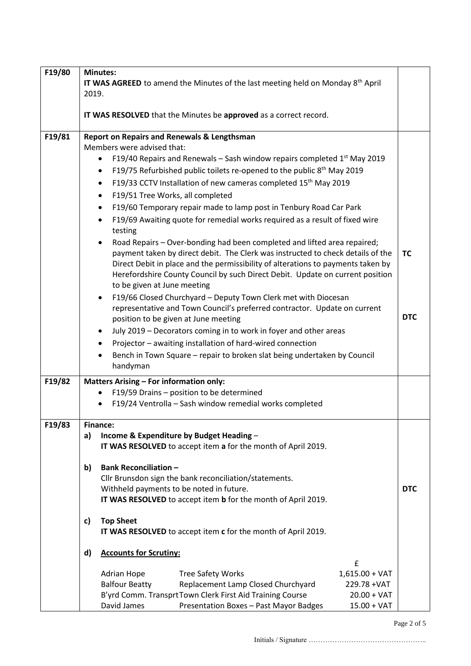| F19/80 | <b>Minutes:</b>                                                                                     |                                                                                                 |            |  |
|--------|-----------------------------------------------------------------------------------------------------|-------------------------------------------------------------------------------------------------|------------|--|
|        | <b>IT WAS AGREED</b> to amend the Minutes of the last meeting held on Monday 8 <sup>th</sup> April  |                                                                                                 |            |  |
|        | 2019.                                                                                               |                                                                                                 |            |  |
|        |                                                                                                     |                                                                                                 |            |  |
|        |                                                                                                     | IT WAS RESOLVED that the Minutes be approved as a correct record.                               |            |  |
| F19/81 | <b>Report on Repairs and Renewals &amp; Lengthsman</b>                                              |                                                                                                 |            |  |
|        |                                                                                                     | Members were advised that:                                                                      |            |  |
|        |                                                                                                     | F19/40 Repairs and Renewals – Sash window repairs completed $1st$ May 2019<br>$\bullet$         |            |  |
|        |                                                                                                     | F19/75 Refurbished public toilets re-opened to the public 8 <sup>th</sup> May 2019<br>$\bullet$ |            |  |
|        |                                                                                                     | F19/33 CCTV Installation of new cameras completed 15 <sup>th</sup> May 2019<br>$\bullet$        |            |  |
|        |                                                                                                     | F19/51 Tree Works, all completed<br>$\bullet$                                                   |            |  |
|        |                                                                                                     | F19/60 Temporary repair made to lamp post in Tenbury Road Car Park<br>$\bullet$                 |            |  |
|        | F19/69 Awaiting quote for remedial works required as a result of fixed wire<br>$\bullet$<br>testing |                                                                                                 |            |  |
|        |                                                                                                     | Road Repairs - Over-bonding had been completed and lifted area repaired;<br>$\bullet$           |            |  |
|        |                                                                                                     | payment taken by direct debit. The Clerk was instructed to check details of the                 | <b>TC</b>  |  |
|        | Direct Debit in place and the permissibility of alterations to payments taken by                    |                                                                                                 |            |  |
|        |                                                                                                     | Herefordshire County Council by such Direct Debit. Update on current position                   |            |  |
|        |                                                                                                     | to be given at June meeting                                                                     |            |  |
|        |                                                                                                     | F19/66 Closed Churchyard - Deputy Town Clerk met with Diocesan<br>$\bullet$                     |            |  |
|        | representative and Town Council's preferred contractor. Update on current                           |                                                                                                 |            |  |
|        |                                                                                                     | position to be given at June meeting                                                            | <b>DTC</b> |  |
|        |                                                                                                     | July 2019 - Decorators coming in to work in foyer and other areas<br>$\bullet$                  |            |  |
|        |                                                                                                     | Projector - awaiting installation of hard-wired connection                                      |            |  |
|        |                                                                                                     | Bench in Town Square - repair to broken slat being undertaken by Council                        |            |  |
|        |                                                                                                     | handyman                                                                                        |            |  |
| F19/82 | <b>Matters Arising - For information only:</b>                                                      |                                                                                                 |            |  |
|        |                                                                                                     | F19/59 Drains - position to be determined                                                       |            |  |
|        |                                                                                                     | F19/24 Ventrolla - Sash window remedial works completed                                         |            |  |
|        |                                                                                                     |                                                                                                 |            |  |
| F19/83 |                                                                                                     | <b>Finance:</b>                                                                                 |            |  |
|        | a)                                                                                                  | Income & Expenditure by Budget Heading -                                                        |            |  |
|        |                                                                                                     | IT WAS RESOLVED to accept item a for the month of April 2019.                                   |            |  |
|        | b)                                                                                                  | <b>Bank Reconciliation -</b>                                                                    |            |  |
|        |                                                                                                     | Cllr Brunsdon sign the bank reconciliation/statements.                                          |            |  |
|        |                                                                                                     | Withheld payments to be noted in future.                                                        | <b>DTC</b> |  |
|        |                                                                                                     | IT WAS RESOLVED to accept item b for the month of April 2019.                                   |            |  |
|        |                                                                                                     |                                                                                                 |            |  |
|        | c)                                                                                                  | <b>Top Sheet</b>                                                                                |            |  |
|        | IT WAS RESOLVED to accept item c for the month of April 2019.                                       |                                                                                                 |            |  |
|        | d)                                                                                                  | <b>Accounts for Scrutiny:</b>                                                                   |            |  |
|        |                                                                                                     | £                                                                                               |            |  |
|        |                                                                                                     | Adrian Hope<br><b>Tree Safety Works</b><br>$1,615.00 + VAT$                                     |            |  |
|        |                                                                                                     | <b>Balfour Beatty</b><br>Replacement Lamp Closed Churchyard<br>229.78 + VAT                     |            |  |
|        |                                                                                                     | B'yrd Comm. TransprtTown Clerk First Aid Training Course<br>$20.00 + VAT$                       |            |  |
|        |                                                                                                     | David James<br>Presentation Boxes - Past Mayor Badges<br>$15.00 + VAT$                          |            |  |

Initials / Signature …………………………………………..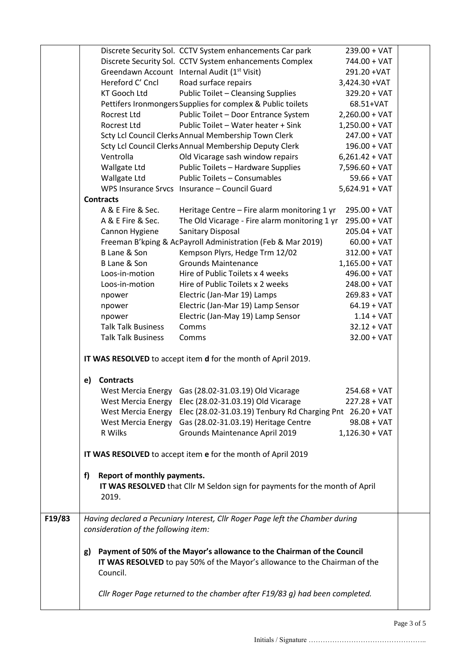|        |                                                                                                                                                                        |                                                        | Discrete Security Sol. CCTV System enhancements Car park                                        | $239.00 + VAT$   |  |
|--------|------------------------------------------------------------------------------------------------------------------------------------------------------------------------|--------------------------------------------------------|-------------------------------------------------------------------------------------------------|------------------|--|
|        |                                                                                                                                                                        |                                                        | Discrete Security Sol. CCTV System enhancements Complex                                         | 744.00 + VAT     |  |
|        |                                                                                                                                                                        |                                                        | Greendawn Account Internal Audit (1 <sup>st</sup> Visit)                                        | 291.20 + VAT     |  |
|        |                                                                                                                                                                        | Hereford C' Cncl                                       | Road surface repairs                                                                            | 3,424.30 + VAT   |  |
|        |                                                                                                                                                                        | <b>KT Gooch Ltd</b>                                    | <b>Public Toilet - Cleansing Supplies</b>                                                       | $329.20 + VAT$   |  |
|        |                                                                                                                                                                        |                                                        | Pettifers Ironmongers Supplies for complex & Public toilets                                     | 68.51+VAT        |  |
|        |                                                                                                                                                                        | Rocrest Ltd                                            | Public Toilet - Door Entrance System                                                            | $2,260.00 + VAT$ |  |
|        |                                                                                                                                                                        | Rocrest Ltd                                            | Public Toilet - Water heater + Sink                                                             | $1,250.00 + VAT$ |  |
|        |                                                                                                                                                                        |                                                        | Scty Lcl Council Clerks Annual Membership Town Clerk                                            | $247.00 + VAT$   |  |
|        |                                                                                                                                                                        |                                                        | Scty Lcl Council Clerks Annual Membership Deputy Clerk                                          | $196.00 + VAT$   |  |
|        |                                                                                                                                                                        | Ventrolla                                              | Old Vicarage sash window repairs                                                                | $6,261.42 + VAT$ |  |
|        |                                                                                                                                                                        | Wallgate Ltd                                           | Public Toilets - Hardware Supplies                                                              | $7,596.60 + VAT$ |  |
|        |                                                                                                                                                                        | Wallgate Ltd                                           | Public Toilets - Consumables                                                                    | $59.66 + VAT$    |  |
|        |                                                                                                                                                                        |                                                        | WPS Insurance Srvcs Insurance - Council Guard                                                   | $5,624.91 + VAT$ |  |
|        |                                                                                                                                                                        | <b>Contracts</b>                                       |                                                                                                 |                  |  |
|        |                                                                                                                                                                        | A & E Fire & Sec.                                      | Heritage Centre - Fire alarm monitoring 1 yr                                                    | $295.00 + VAT$   |  |
|        |                                                                                                                                                                        | A & E Fire & Sec.                                      | The Old Vicarage - Fire alarm monitoring 1 yr                                                   | $295.00 + VAT$   |  |
|        |                                                                                                                                                                        | Cannon Hygiene                                         | Sanitary Disposal                                                                               | $205.04 + VAT$   |  |
|        |                                                                                                                                                                        |                                                        | Freeman B'kping & AcPayroll Administration (Feb & Mar 2019)                                     | $60.00 + VAT$    |  |
|        |                                                                                                                                                                        | B Lane & Son                                           | Kempson Plyrs, Hedge Trm 12/02                                                                  | $312.00 + VAT$   |  |
|        |                                                                                                                                                                        | B Lane & Son                                           | <b>Grounds Maintenance</b>                                                                      | $1,165.00 + VAT$ |  |
|        |                                                                                                                                                                        | Loos-in-motion                                         | Hire of Public Toilets x 4 weeks                                                                | $496.00 + VAT$   |  |
|        |                                                                                                                                                                        | Loos-in-motion                                         | Hire of Public Toilets x 2 weeks                                                                | $248.00 + VAT$   |  |
|        |                                                                                                                                                                        | npower                                                 | Electric (Jan-Mar 19) Lamps                                                                     | $269.83 + VAT$   |  |
|        |                                                                                                                                                                        | npower                                                 | Electric (Jan-Mar 19) Lamp Sensor                                                               | $64.19 + VAT$    |  |
|        |                                                                                                                                                                        | npower                                                 | Electric (Jan-May 19) Lamp Sensor                                                               | $1.14 + VAT$     |  |
|        |                                                                                                                                                                        | <b>Talk Talk Business</b>                              | Comms                                                                                           | $32.12 + VAT$    |  |
|        |                                                                                                                                                                        | <b>Talk Talk Business</b>                              | Comms                                                                                           | $32.00 + VAT$    |  |
|        | IT WAS RESOLVED to accept item d for the month of April 2019.                                                                                                          |                                                        |                                                                                                 |                  |  |
|        |                                                                                                                                                                        | <b>Contracts</b>                                       |                                                                                                 |                  |  |
|        | e)                                                                                                                                                                     |                                                        |                                                                                                 | $254.68 + VAT$   |  |
|        |                                                                                                                                                                        |                                                        | West Mercia Energy Gas (28.02-31.03.19) Old Vicarage                                            | 227.28 + VAT     |  |
|        |                                                                                                                                                                        | <b>West Mercia Energy</b><br><b>West Mercia Energy</b> | Elec (28.02-31.03.19) Old Vicarage<br>Elec (28.02-31.03.19) Tenbury Rd Charging Pnt 26.20 + VAT |                  |  |
|        |                                                                                                                                                                        | <b>West Mercia Energy</b>                              | Gas (28.02-31.03.19) Heritage Centre                                                            | $98.08 + VAT$    |  |
|        |                                                                                                                                                                        | R Wilks                                                | Grounds Maintenance April 2019                                                                  | $1,126.30 + VAT$ |  |
|        |                                                                                                                                                                        |                                                        |                                                                                                 |                  |  |
|        |                                                                                                                                                                        |                                                        | IT WAS RESOLVED to accept item e for the month of April 2019                                    |                  |  |
|        | f)                                                                                                                                                                     | Report of monthly payments.<br>2019.                   | IT WAS RESOLVED that Cllr M Seldon sign for payments for the month of April                     |                  |  |
|        |                                                                                                                                                                        |                                                        |                                                                                                 |                  |  |
| F19/83 |                                                                                                                                                                        | consideration of the following item:                   | Having declared a Pecuniary Interest, Cllr Roger Page left the Chamber during                   |                  |  |
|        | Payment of 50% of the Mayor's allowance to the Chairman of the Council<br>g)<br>IT WAS RESOLVED to pay 50% of the Mayor's allowance to the Chairman of the<br>Council. |                                                        |                                                                                                 |                  |  |
|        | Cllr Roger Page returned to the chamber after F19/83 g) had been completed.                                                                                            |                                                        |                                                                                                 |                  |  |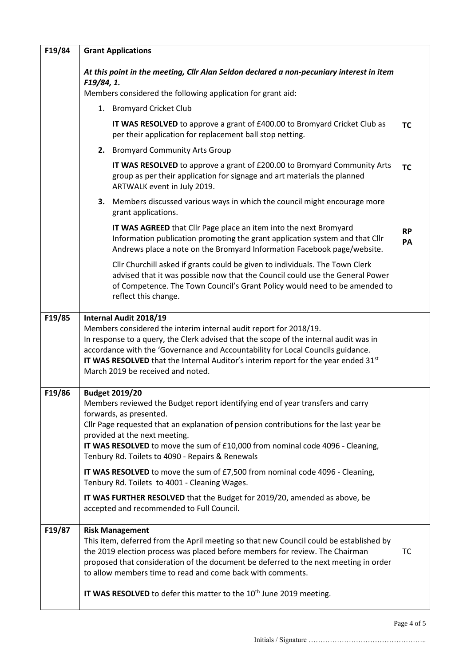| F19/84 | <b>Grant Applications</b>                                                                                                                                                                                                                                                                                                                                                                                                                                                                                                                                                                                                                                    |                                                                                                                                                                                                                                                                                                                                                                                                                                           |                 |
|--------|--------------------------------------------------------------------------------------------------------------------------------------------------------------------------------------------------------------------------------------------------------------------------------------------------------------------------------------------------------------------------------------------------------------------------------------------------------------------------------------------------------------------------------------------------------------------------------------------------------------------------------------------------------------|-------------------------------------------------------------------------------------------------------------------------------------------------------------------------------------------------------------------------------------------------------------------------------------------------------------------------------------------------------------------------------------------------------------------------------------------|-----------------|
|        | At this point in the meeting, Cllr Alan Seldon declared a non-pecuniary interest in item<br>F19/84, 1.<br>Members considered the following application for grant aid:                                                                                                                                                                                                                                                                                                                                                                                                                                                                                        |                                                                                                                                                                                                                                                                                                                                                                                                                                           |                 |
|        | 1. Bromyard Cricket Club                                                                                                                                                                                                                                                                                                                                                                                                                                                                                                                                                                                                                                     |                                                                                                                                                                                                                                                                                                                                                                                                                                           |                 |
|        |                                                                                                                                                                                                                                                                                                                                                                                                                                                                                                                                                                                                                                                              | IT WAS RESOLVED to approve a grant of £400.00 to Bromyard Cricket Club as<br>per their application for replacement ball stop netting.                                                                                                                                                                                                                                                                                                     | <b>TC</b>       |
|        |                                                                                                                                                                                                                                                                                                                                                                                                                                                                                                                                                                                                                                                              | 2. Bromyard Community Arts Group                                                                                                                                                                                                                                                                                                                                                                                                          |                 |
|        |                                                                                                                                                                                                                                                                                                                                                                                                                                                                                                                                                                                                                                                              | IT WAS RESOLVED to approve a grant of £200.00 to Bromyard Community Arts<br>group as per their application for signage and art materials the planned<br>ARTWALK event in July 2019.                                                                                                                                                                                                                                                       | <b>TC</b>       |
|        | 3.                                                                                                                                                                                                                                                                                                                                                                                                                                                                                                                                                                                                                                                           | Members discussed various ways in which the council might encourage more<br>grant applications.                                                                                                                                                                                                                                                                                                                                           |                 |
|        |                                                                                                                                                                                                                                                                                                                                                                                                                                                                                                                                                                                                                                                              | IT WAS AGREED that Cllr Page place an item into the next Bromyard<br>Information publication promoting the grant application system and that Cllr<br>Andrews place a note on the Bromyard Information Facebook page/website.                                                                                                                                                                                                              | <b>RP</b><br>PA |
|        |                                                                                                                                                                                                                                                                                                                                                                                                                                                                                                                                                                                                                                                              | Cllr Churchill asked if grants could be given to individuals. The Town Clerk<br>advised that it was possible now that the Council could use the General Power<br>of Competence. The Town Council's Grant Policy would need to be amended to<br>reflect this change.                                                                                                                                                                       |                 |
| F19/85 | Internal Audit 2018/19<br>Members considered the interim internal audit report for 2018/19.<br>In response to a query, the Clerk advised that the scope of the internal audit was in<br>accordance with the 'Governance and Accountability for Local Councils guidance.<br><b>IT WAS RESOLVED</b> that the Internal Auditor's interim report for the year ended 31 <sup>st</sup><br>March 2019 be received and noted.                                                                                                                                                                                                                                        |                                                                                                                                                                                                                                                                                                                                                                                                                                           |                 |
| F19/86 | <b>Budget 2019/20</b><br>Members reviewed the Budget report identifying end of year transfers and carry<br>forwards, as presented.<br>Cllr Page requested that an explanation of pension contributions for the last year be<br>provided at the next meeting.<br>IT WAS RESOLVED to move the sum of £10,000 from nominal code 4096 - Cleaning,<br>Tenbury Rd. Toilets to 4090 - Repairs & Renewals<br>IT WAS RESOLVED to move the sum of £7,500 from nominal code 4096 - Cleaning,<br>Tenbury Rd. Toilets to 4001 - Cleaning Wages.<br>IT WAS FURTHER RESOLVED that the Budget for 2019/20, amended as above, be<br>accepted and recommended to Full Council. |                                                                                                                                                                                                                                                                                                                                                                                                                                           |                 |
| F19/87 |                                                                                                                                                                                                                                                                                                                                                                                                                                                                                                                                                                                                                                                              | <b>Risk Management</b><br>This item, deferred from the April meeting so that new Council could be established by<br>the 2019 election process was placed before members for review. The Chairman<br>proposed that consideration of the document be deferred to the next meeting in order<br>to allow members time to read and come back with comments.<br>IT WAS RESOLVED to defer this matter to the 10 <sup>th</sup> June 2019 meeting. | TC              |